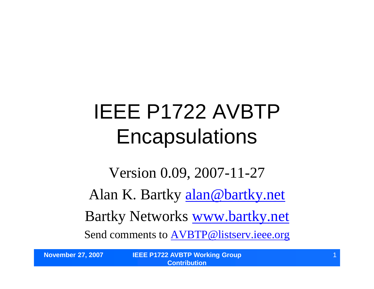# IEEE P1722 AVBTP **Encapsulations**

Version 0.09, 2007-11-27 Alan K. Bartky alan@bartky.net Bartky Networks www.bartky.net Send comments to **AVBTP@listserv.ieee.org**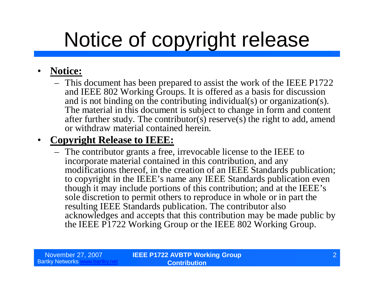# Notice of copyright release

#### • **Notice:**

– This document has been prepared to assist the work of the IEEE P1722 and IEEE 802 Working Groups. It is offered as a basis for discussion and is not binding on the contributing individual(s) or organization(s). The material in this document is subject to change in form and content after further study. The contributor(s) reserve(s) the right to add, amend or withdraw material contained herein.

#### • **Copyright Release to IEEE:**

– The contributor grants a free, irrevocable license to the IEEE to incorporate material contained in this contribution, and any modifications thereof, in the creation of an IEEE Standards publication; to copyright in the IEEE's name any IEEE Standards publication even though it may include portions of this contribution; and at the IEEE's sole discretion to permit others to reproduce in whole or in part the resulting IEEE Standards publication. The contributor also acknowledges and accepts that this contribution may be made public by the IEEE P1722 Working Group or the IEEE 802 Working Group.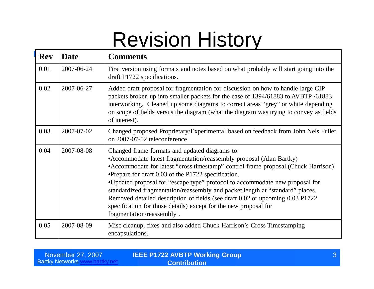### Revision History

| <b>Rev</b> | <b>Date</b> | <b>Comments</b>                                                                                                                                                                                                                                                                                                                                                                                                                                                                                                                                                                                                        |  |
|------------|-------------|------------------------------------------------------------------------------------------------------------------------------------------------------------------------------------------------------------------------------------------------------------------------------------------------------------------------------------------------------------------------------------------------------------------------------------------------------------------------------------------------------------------------------------------------------------------------------------------------------------------------|--|
| 0.01       | 2007-06-24  | First version using formats and notes based on what probably will start going into the<br>draft P1722 specifications.                                                                                                                                                                                                                                                                                                                                                                                                                                                                                                  |  |
| 0.02       | 2007-06-27  | Added draft proposal for fragmentation for discussion on how to handle large CIP<br>packets broken up into smaller packets for the case of 1394/61883 to AVBTP /61883<br>interworking. Cleaned up some diagrams to correct areas "grey" or white depending<br>on scope of fields versus the diagram (what the diagram was trying to convey as fields<br>of interest).                                                                                                                                                                                                                                                  |  |
| 0.03       | 2007-07-02  | Changed proposed Proprietary/Experimental based on feedback from John Nels Fuller<br>on 2007-07-02 teleconference                                                                                                                                                                                                                                                                                                                                                                                                                                                                                                      |  |
| 0.04       | 2007-08-08  | Changed frame formats and updated diagrams to:<br>• Accommodate latest fragmentation/reassembly proposal (Alan Bartky)<br>• Accommodate for latest "cross timestamp" control frame proposal (Chuck Harrison)<br>•Prepare for draft 0.03 of the P1722 specification.<br>•Updated proposal for "escape type" protocol to accommodate new proposal for<br>standardized fragmentation/reassembly and packet length at "standard" places.<br>Removed detailed description of fields (see draft 0.02 or upcoming 0.03 P1722<br>specification for those details) except for the new proposal for<br>fragmentation/reassembly. |  |
| 0.05       | 2007-08-09  | Misc cleanup, fixes and also added Chuck Harrison's Cross Timestamping<br>encapsulations.                                                                                                                                                                                                                                                                                                                                                                                                                                                                                                                              |  |

| November 27, 2007        | <b>IEEE P1722 AVBTP Working Group</b> |  |
|--------------------------|---------------------------------------|--|
| <b>Bartky Networks w</b> | <b>Contribution</b>                   |  |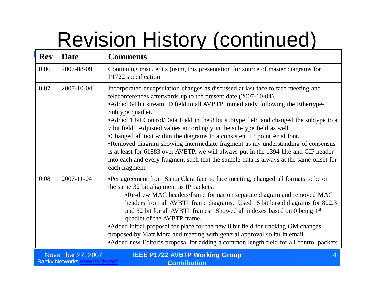# Revision History (continued)

| <b>Rev</b>                                                 | <b>Date</b>      | <b>Comments</b>                                                                                                                                                                                                                                                                                                                                                                                                                                                                                                                                                                                                                                                                                                                                                                                          |  |
|------------------------------------------------------------|------------------|----------------------------------------------------------------------------------------------------------------------------------------------------------------------------------------------------------------------------------------------------------------------------------------------------------------------------------------------------------------------------------------------------------------------------------------------------------------------------------------------------------------------------------------------------------------------------------------------------------------------------------------------------------------------------------------------------------------------------------------------------------------------------------------------------------|--|
| 0.06                                                       | 2007-08-09       | Continuing misc. edits (using this presentation for source of master diagrams for<br>P1722 specification                                                                                                                                                                                                                                                                                                                                                                                                                                                                                                                                                                                                                                                                                                 |  |
| 0.07                                                       | 2007-10-04       | Incorporated encapsulation changes as discussed at last face to face meeting and<br>teleconferences afterwards up to the present date (2007-10-04).<br>• Added 64 bit stream ID field to all AVBTP immediately following the Ethertype-<br>Subtype quadlet.<br>• Added 1 bit Control/Data Field in the 8 bit subtype field and changed the subtype to a<br>7 bit field. Adjusted values accordingly in the sub-type field as well.<br>•Changed all text within the diagrams to a consistent 12 point Arial font.<br>•Removed diagram showing Intermediate fragment as my understanding of consensus<br>is at least for 61883 over AVBTP, we will always put in the 1394-like and CIP header<br>into each and every fragment such that the sample data is always at the same offset for<br>each fragment. |  |
| 0.08                                                       | $2007 - 11 - 04$ | •Per agreement from Santa Clara face to face meeting, changed all formats to be on<br>the same 32 bit alignment as IP packets.<br>•Re-drew MAC headers/frame format on separate diagram and removed MAC<br>headers from all AVBTP frame diagrams. Used 16 bit based diagrams for 802.3<br>and 32 bit for all AVBTP frames. Showed all indexes based on 0 being 1 <sup>st</sup><br>quadlet of the AVBTP frame.<br>• Added initial proposal for place for the new 8 bit field for tracking GM changes<br>proposed by Matt Mora and meeting with general approval so far in email.<br>• Added new Editor's proposal for adding a common length field for all control packets                                                                                                                                |  |
| <b>IEEE P1722 AVBTP Working Group</b><br>November 27, 2007 |                  |                                                                                                                                                                                                                                                                                                                                                                                                                                                                                                                                                                                                                                                                                                                                                                                                          |  |

**Contribution**

**Bartky Networks www.bartky.net**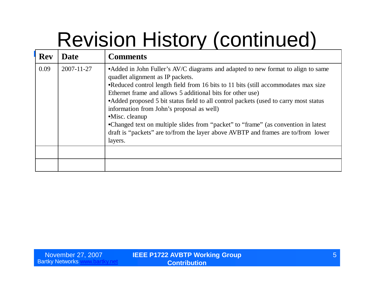# Revision History (continued)

| <b>Rev</b> | <b>Date</b> | <b>Comments</b>                                                                                                                                                                                                                                                                                                                                                                                                                                                                                                                                                                                                                  |
|------------|-------------|----------------------------------------------------------------------------------------------------------------------------------------------------------------------------------------------------------------------------------------------------------------------------------------------------------------------------------------------------------------------------------------------------------------------------------------------------------------------------------------------------------------------------------------------------------------------------------------------------------------------------------|
| 0.09       | 2007-11-27  | • Added in John Fuller's AV/C diagrams and adapted to new format to align to same<br>quadlet alignment as IP packets.<br>•Reduced control length field from 16 bits to 11 bits (still accommodates max size<br>Ethernet frame and allows 5 additional bits for other use)<br>• Added proposed 5 bit status field to all control packets (used to carry most status<br>information from John's proposal as well)<br>$\bullet$ Misc. cleanup<br>•Changed text on multiple slides from "packet" to "frame" (as convention in latest<br>draft is "packets" are to/from the layer above AVBTP and frames are to/from lower<br>layers. |
|            |             |                                                                                                                                                                                                                                                                                                                                                                                                                                                                                                                                                                                                                                  |
|            |             |                                                                                                                                                                                                                                                                                                                                                                                                                                                                                                                                                                                                                                  |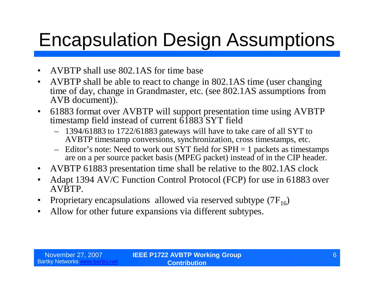### Encapsulation Design Assumptions

- AVBTP shall use 802.1AS for time base
- AVBTP shall be able to react to change in 802.1AS time (user changing time of day, change in Grandmaster, etc. (see 802.1AS assumptions from AVB document)).
- 61883 format over AVBTP will support presentation time using AVBTP timestamp field instead of current  $\overline{61883}$  SYT field
	- 1394/61883 to 1722/61883 gateways will have to take care of all SYT to AVBTP timestamp conversions, synchronization, cross timestamps, etc.
	- Editor's note: Need to work out SYT field for SPH = 1 packets as timestamps are on a per source packet basis (MPEG packet) instead of in the CIP header.
- AVBTP 61883 presentation time shall be relative to the 802.1AS clock
- Adapt 1394 AV/C Function Control Protocol (FCP) for use in 61883 over AVBTP.
- Proprietary encapsulations allowed via reserved subtype  $(7F_{16})$
- Allow for other future expansions via different subtypes.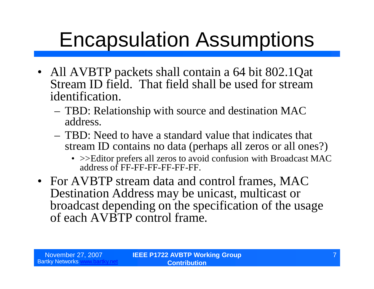# Encapsulation Assumptions

- All AVBTP packets shall contain a 64 bit 802.1Qat Stream ID field. That field shall be used for stream identification.
	- TBD: Relationship with source and destination MAC address.
	- TBD: Need to have a standard value that indicates that stream ID contains no data (perhaps all zeros or all ones?)
		- >>Editor prefers all zeros to avoid confusion with Broadcast MAC address of FF-FF-FF-FF-FF-FF.
- For AVBTP stream data and control frames, MAC Destination Address may be unicast, multicast or broadcast depending on the specification of the usage of each AVBTP control frame.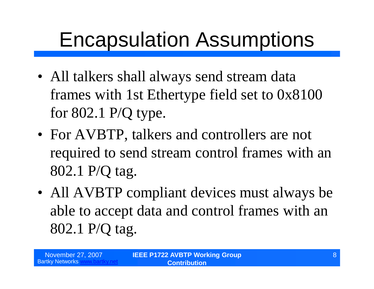### Encapsulation Assumptions

- All talkers shall always send stream data frames with 1st Ethertype field set to 0x8100 for 802.1 P/Q type.
- For AVBTP, talkers and controllers are not required to send stream control frames with an 802.1 P/Q tag.
- All AVBTP compliant devices must always be able to accept data and control frames with an 802.1 P/Q tag.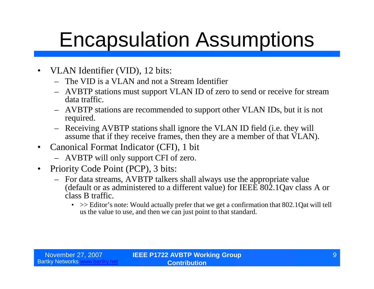### Encapsulation Assumptions

- VLAN Identifier (VID), 12 bits:
	- The VID is a VLAN and not a Stream Identifier
	- AVBTP stations must support VLAN ID of zero to send or receive for stream data traffic.
	- AVBTP stations are recommended to support other VLAN IDs, but it is not required.
	- Receiving AVBTP stations shall ignore the VLAN ID field (i.e. they will assume that if they receive frames, then they are a member of that VLAN).
- Canonical Format Indicator (CFI), 1 bit
	- AVBTP will only support CFI of zero.
- Priority Code Point (PCP), 3 bits:
	- For data streams, AVBTP talkers shall always use the appropriate value (default or as administered to a different value) for IEEE 802.1Qav class A or class B traffic.
		- $\gg$  Editor's note: Would actually prefer that we get a confirmation that 802.1Qat will tell us the value to use, and then we can just point to that standard.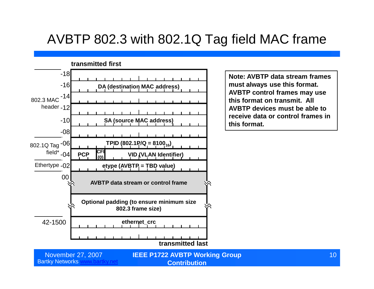#### AVBTP 802.3 with 802.1Q Tag field MAC frame



**Note: AVBTP data stream frames must always use this format. AVBTP control frames may use this format on transmit. All AVBTP devices must be able to receive data or control frames in this format.**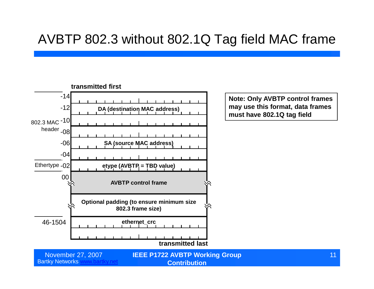#### AVBTP 802.3 without 802.1Q Tag field MAC frame

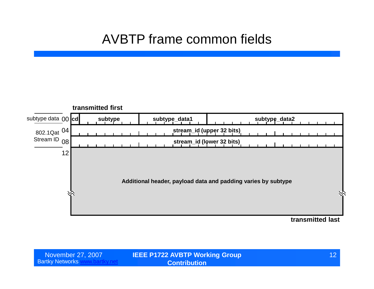### AVBTP frame common fields



| November 27, 2007        | <b>IEEE P1722 AVBTP Working Group</b> | 12 |
|--------------------------|---------------------------------------|----|
| <b>Bartky Networks w</b> | <b>Contribution</b>                   |    |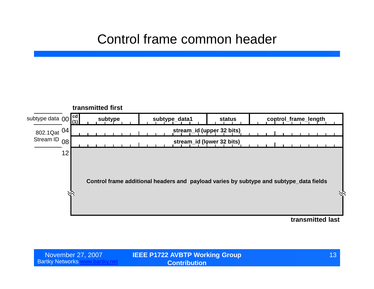#### Control frame common header



| November 27, 2007        | <b>IEEE P1722 AVBTP Working Group</b> | 13 |
|--------------------------|---------------------------------------|----|
| <b>Bartky Networks w</b> | <b>Contribution</b>                   |    |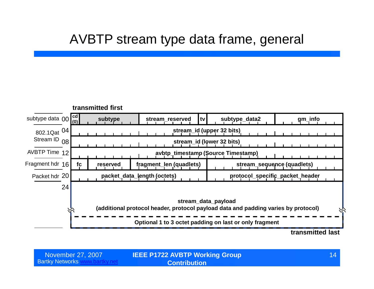#### AVBTP stream type data frame, general



| November 27, 2007      |  |
|------------------------|--|
| <b>Bartky Networks</b> |  |

**IEEE P1722 AVBTP Working Group** November 27, 2007 14 **Contribution**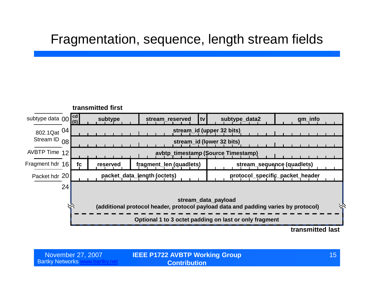#### Fragmentation, sequence, length stream fields



| November 27, 2007        | <b>IEEE P1722 AVBTP Working Group</b> |  |
|--------------------------|---------------------------------------|--|
| <b>Bartky Networks w</b> | <b>Contribution</b> \                 |  |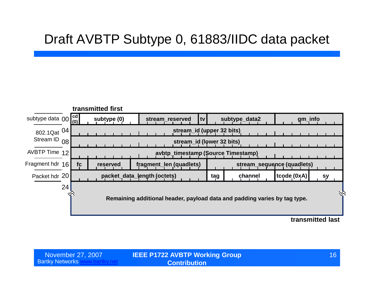#### Draft AVBTP Subtype 0, 61883/IIDC data packet



| November 27, 2007        | <b>IEEE P1722 AVBTP Working Group</b> |  |
|--------------------------|---------------------------------------|--|
| <b>Bartky Networks w</b> | <b>Contribution</b>                   |  |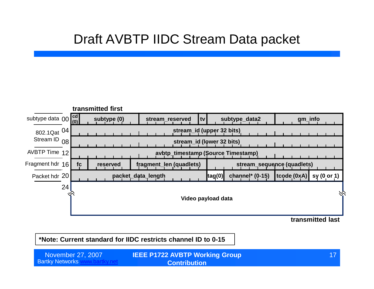#### Draft AVBTP IIDC Stream Data packet



**transmitted last**

**\*Note: Current standard for IIDC restricts channel ID to 0-15**

Bartky Networks www.bartky.net **IEEE P1722 AVBTP Working Group** November 27, 2007 17 **Contribution**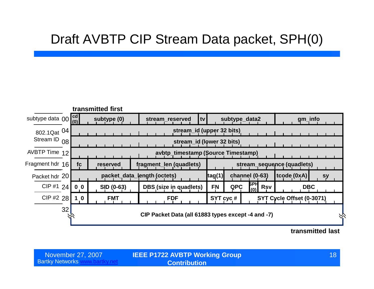#### Draft AVBTP CIP Stream Data packet, SPH(0)



#### **transmitted last**

| November 27, 2007            |  |
|------------------------------|--|
| Bartky Networks <sup>1</sup> |  |

**IEEE P1722 AVBTP Working Group** November 27, 2007 18 **Contribution**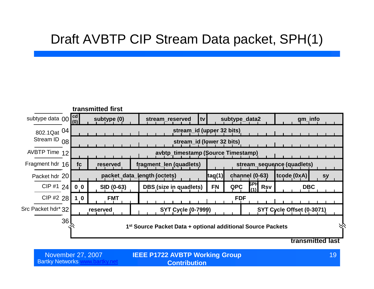#### Draft AVBTP CIP Stream Data packet, SPH(1)



Bartky Networks www.bartky.net

**IEEE P1722 AVBTP Working Group** November 27, 2007 19 **Contribution**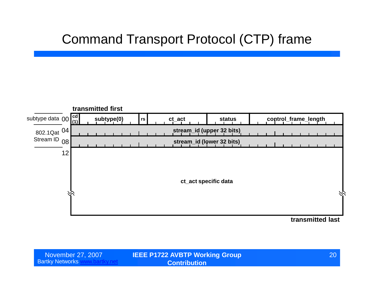#### Command Transport Protocol (CTP) frame



| November 27, 2007         | <b>IEEE P1722 AVBTP Working Group</b> | <b>20</b> |
|---------------------------|---------------------------------------|-----------|
| <b>Bartky Networks WV</b> | <b>Contribution</b>                   |           |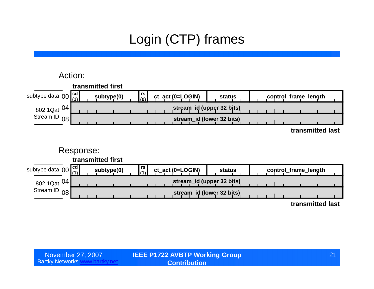### Login (CTP) frames

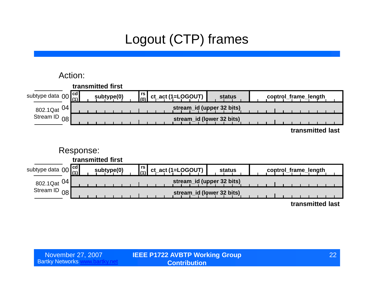### Logout (CTP) frames

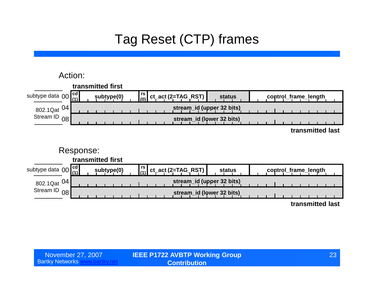### Tag Reset (CTP) frames

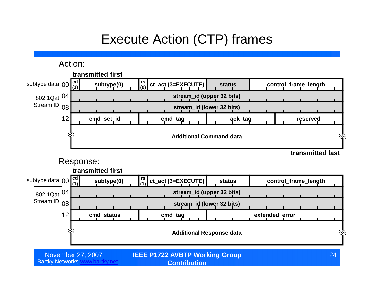### Execute Action (CTP) frames

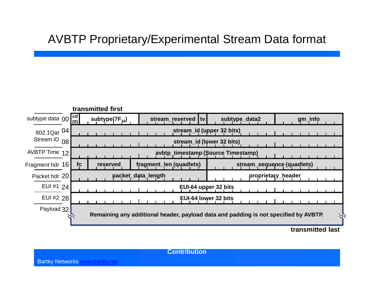#### AVBTP Proprietary/Experimental Stream Data format



**transmitted last**

**Contribution**

Bartky Networks www.bartky.net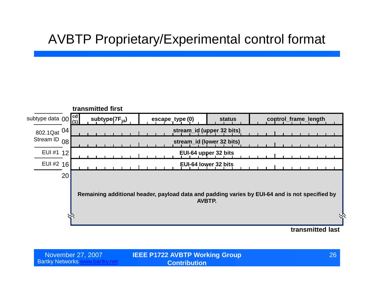### AVBTP Proprietary/Experimental control format



| November 27, 2007           | <b>IEEE P1722 AVBTP Working Group</b> | 26 <sup>1</sup> |
|-----------------------------|---------------------------------------|-----------------|
| <b>Bartky Networks will</b> | <b>Contribution</b>                   |                 |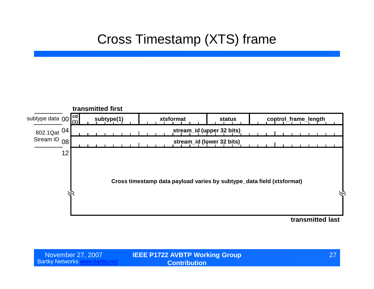### Cross Timestamp (XTS) frame



| November 27, 2007        | <b>IEEE P1722 AVBTP Working Group</b> | 27 |
|--------------------------|---------------------------------------|----|
| <b>Bartky Networks w</b> | <b>Contribution</b>                   |    |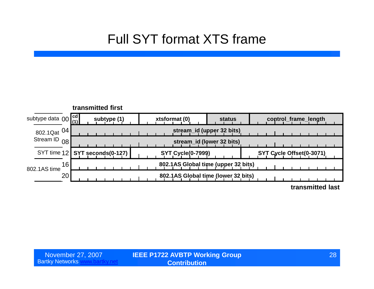#### Full SYT format XTS frame

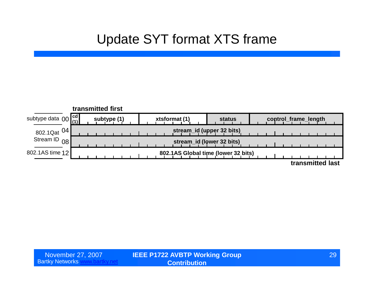#### Update SYT format XTS frame